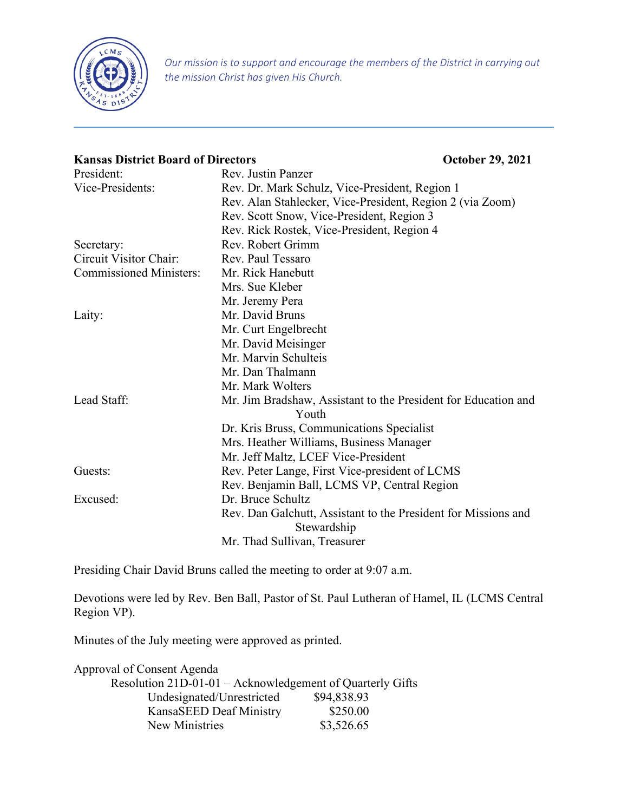

*Our mission is to support and encourage the members of the District in carrying out the mission Christ has given His Church.*

# **Kansas District Board of Directors October 29, 2021** President: Rev. Justin Panzer Vice-Presidents: Rev. Dr. Mark Schulz, Vice-President, Region 1 Rev. Alan Stahlecker, Vice-President, Region 2 (via Zoom) Rev. Scott Snow, Vice-President, Region 3 Rev. Rick Rostek, Vice-President, Region 4 Secretary: Rev. Robert Grimm Circuit Visitor Chair: Rev. Paul Tessaro Commissioned Ministers: Mr. Rick Hanebutt Mrs. Sue Kleber Mr. Jeremy Pera Laity: Mr. David Bruns Mr. Curt Engelbrecht Mr. David Meisinger Mr. Marvin Schulteis Mr. Dan Thalmann Mr. Mark Wolters Lead Staff: Mr. Jim Bradshaw, Assistant to the President for Education and Youth Dr. Kris Bruss, Communications Specialist Mrs. Heather Williams, Business Manager Mr. Jeff Maltz, LCEF Vice-President Guests: Rev. Peter Lange, First Vice-president of LCMS Rev. Benjamin Ball, LCMS VP, Central Region Excused: Dr. Bruce Schultz Rev. Dan Galchutt, Assistant to the President for Missions and Stewardship Mr. Thad Sullivan, Treasurer

Presiding Chair David Bruns called the meeting to order at 9:07 a.m.

Devotions were led by Rev. Ben Ball, Pastor of St. Paul Lutheran of Hamel, IL (LCMS Central Region VP).

Minutes of the July meeting were approved as printed.

| Approval of Consent Agenda                                |             |
|-----------------------------------------------------------|-------------|
| Resolution 21D-01-01 - Acknowledgement of Quarterly Gifts |             |
| Undesignated/Unrestricted                                 | \$94,838.93 |
| KansaSEED Deaf Ministry                                   | \$250.00    |
| New Ministries                                            | \$3,526.65  |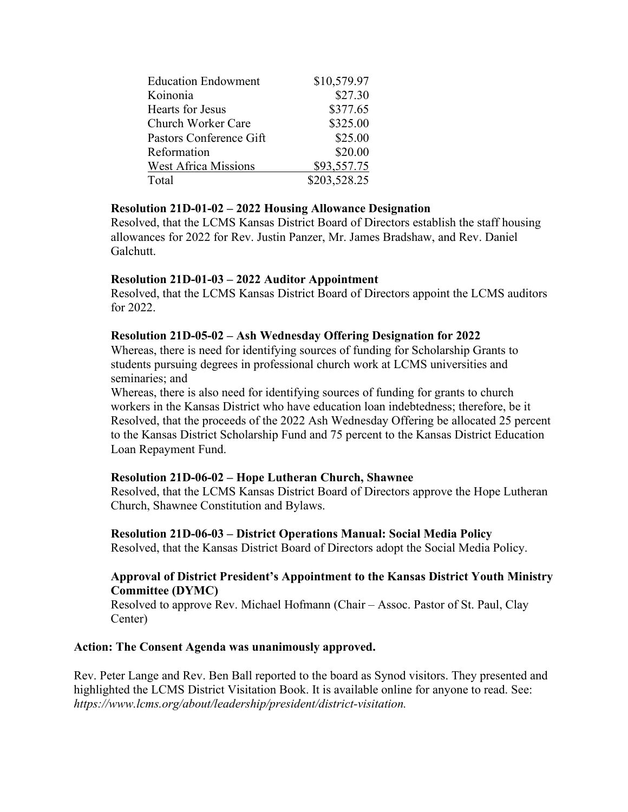| <b>Education Endowment</b>  | \$10,579.97  |
|-----------------------------|--------------|
| Koinonia                    | \$27.30      |
| <b>Hearts for Jesus</b>     | \$377.65     |
| <b>Church Worker Care</b>   | \$325.00     |
| Pastors Conference Gift     | \$25.00      |
| Reformation                 | \$20.00      |
| <b>West Africa Missions</b> | \$93,557.75  |
| Total                       | \$203,528.25 |

### **Resolution 21D-01-02 – 2022 Housing Allowance Designation**

Resolved, that the LCMS Kansas District Board of Directors establish the staff housing allowances for 2022 for Rev. Justin Panzer, Mr. James Bradshaw, and Rev. Daniel Galchutt.

### **Resolution 21D-01-03 – 2022 Auditor Appointment**

Resolved, that the LCMS Kansas District Board of Directors appoint the LCMS auditors for 2022.

# **Resolution 21D-05-02 – Ash Wednesday Offering Designation for 2022**

Whereas, there is need for identifying sources of funding for Scholarship Grants to students pursuing degrees in professional church work at LCMS universities and seminaries; and

Whereas, there is also need for identifying sources of funding for grants to church workers in the Kansas District who have education loan indebtedness; therefore, be it Resolved, that the proceeds of the 2022 Ash Wednesday Offering be allocated 25 percent to the Kansas District Scholarship Fund and 75 percent to the Kansas District Education Loan Repayment Fund.

# **Resolution 21D-06-02 – Hope Lutheran Church, Shawnee**

Resolved, that the LCMS Kansas District Board of Directors approve the Hope Lutheran Church, Shawnee Constitution and Bylaws.

**Resolution 21D-06-03 – District Operations Manual: Social Media Policy** 

Resolved, that the Kansas District Board of Directors adopt the Social Media Policy.

#### **Approval of District President's Appointment to the Kansas District Youth Ministry Committee (DYMC)**

Resolved to approve Rev. Michael Hofmann (Chair – Assoc. Pastor of St. Paul, Clay Center)

#### **Action: The Consent Agenda was unanimously approved.**

Rev. Peter Lange and Rev. Ben Ball reported to the board as Synod visitors. They presented and highlighted the LCMS District Visitation Book. It is available online for anyone to read. See: *https://www.lcms.org/about/leadership/president/district-visitation.*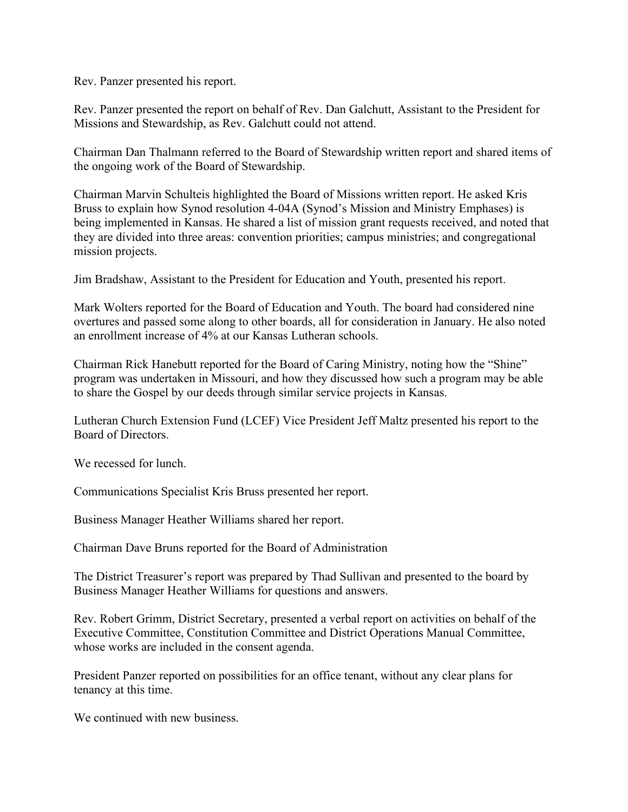Rev. Panzer presented his report.

Rev. Panzer presented the report on behalf of Rev. Dan Galchutt, Assistant to the President for Missions and Stewardship, as Rev. Galchutt could not attend.

Chairman Dan Thalmann referred to the Board of Stewardship written report and shared items of the ongoing work of the Board of Stewardship.

Chairman Marvin Schulteis highlighted the Board of Missions written report. He asked Kris Bruss to explain how Synod resolution 4-04A (Synod's Mission and Ministry Emphases) is being implemented in Kansas. He shared a list of mission grant requests received, and noted that they are divided into three areas: convention priorities; campus ministries; and congregational mission projects.

Jim Bradshaw, Assistant to the President for Education and Youth, presented his report.

Mark Wolters reported for the Board of Education and Youth. The board had considered nine overtures and passed some along to other boards, all for consideration in January. He also noted an enrollment increase of 4% at our Kansas Lutheran schools.

Chairman Rick Hanebutt reported for the Board of Caring Ministry, noting how the "Shine" program was undertaken in Missouri, and how they discussed how such a program may be able to share the Gospel by our deeds through similar service projects in Kansas.

Lutheran Church Extension Fund (LCEF) Vice President Jeff Maltz presented his report to the Board of Directors.

We recessed for lunch.

Communications Specialist Kris Bruss presented her report.

Business Manager Heather Williams shared her report.

Chairman Dave Bruns reported for the Board of Administration

The District Treasurer's report was prepared by Thad Sullivan and presented to the board by Business Manager Heather Williams for questions and answers.

Rev. Robert Grimm, District Secretary, presented a verbal report on activities on behalf of the Executive Committee, Constitution Committee and District Operations Manual Committee, whose works are included in the consent agenda.

President Panzer reported on possibilities for an office tenant, without any clear plans for tenancy at this time.

We continued with new business.